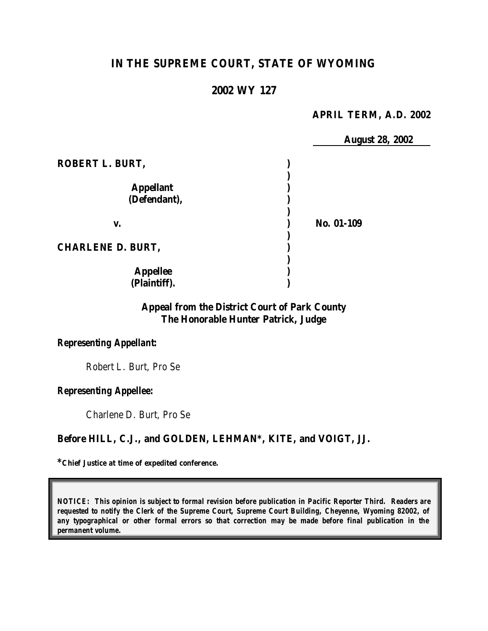# **IN THE SUPREME COURT, STATE OF WYOMING**

## **2002 WY 127**

#### **APRIL TERM, A.D. 2002**

|                          | <b>August 28, 2002</b> |
|--------------------------|------------------------|
| ROBERT L. BURT,          |                        |
|                          |                        |
| <b>Appellant</b>         |                        |
| (Defendant),             |                        |
|                          |                        |
| v.                       | No. 01-109             |
|                          |                        |
| <b>CHARLENE D. BURT,</b> |                        |
|                          |                        |
| <b>Appellee</b>          |                        |
| (Plaintiff).             |                        |

## **Appeal from the District Court of Park County The Honorable Hunter Patrick, Judge**

## *Representing Appellant:*

Robert L. Burt, Pro Se

#### *Representing Appellee:*

Charlene D. Burt, Pro Se

### **Before HILL, C.J., and GOLDEN, LEHMAN\*, KITE, and VOIGT, JJ.**

**\*Chief Justice at time of expedited conference.**

*NOTICE: This opinion is subject to formal revision before publication in Pacific Reporter Third. Readers are requested to notify the Clerk of the Supreme Court, Supreme Court Building, Cheyenne, Wyoming 82002, of any typographical or other formal errors so that correction may be made before final publication in the permanent volume.*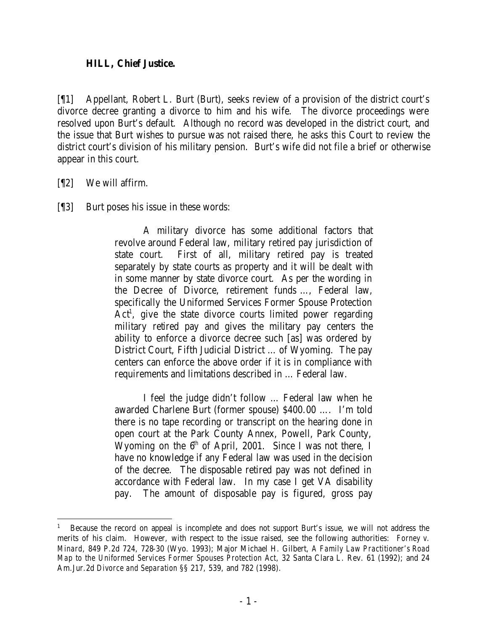### **HILL, Chief Justice.**

[¶1] Appellant, Robert L. Burt (Burt), seeks review of a provision of the district court's divorce decree granting a divorce to him and his wife. The divorce proceedings were resolved upon Burt's default. Although no record was developed in the district court, and the issue that Burt wishes to pursue was not raised there, he asks this Court to review the district court's division of his military pension. Burt's wife did not file a brief or otherwise appear in this court.

## [¶2] We will affirm.

[¶3] Burt poses his issue in these words:

A military divorce has some additional factors that revolve around Federal law, military retired pay jurisdiction of state court. First of all, military retired pay is treated separately by state courts as property and it will be dealt with in some manner by state divorce court. As per the wording in the Decree of Divorce, retirement funds …, Federal law, specifically the Uniformed Services Former Spouse Protection Act<sup>1</sup>, give the state divorce courts limited power regarding military retired pay and gives the military pay centers the ability to enforce a divorce decree such [as] was ordered by District Court, Fifth Judicial District … of Wyoming. The pay centers can enforce the above order if it is in compliance with requirements and limitations described in … Federal law.

I feel the judge didn't follow … Federal law when he awarded Charlene Burt (former spouse) \$400.00 …. I'm told there is no tape recording or transcript on the hearing done in open court at the Park County Annex, Powell, Park County, Wyoming on the  $6<sup>th</sup>$  of April, 2001. Since I was not there, I have no knowledge if any Federal law was used in the decision of the decree. The disposable retired pay was not defined in accordance with Federal law. In my case I get VA disability pay. The amount of disposable pay is figured, gross pay

<sup>1</sup> Because the record on appeal is incomplete and does not support Burt's issue, we will not address the merits of his claim. However, with respect to the issue raised, see the following authorities: *Forney v. Minard*, 849 P.2d 724, 728-30 (Wyo. 1993); Major Michael H. Gilbert, *A Family Law Practitioner's Road Map to the Uniformed Services Former Spouses Protection Act*, 32 Santa Clara L. Rev. 61 (1992); and 24 Am.Jur.2d *Divorce and Separation* §§ 217, 539, and 782 (1998).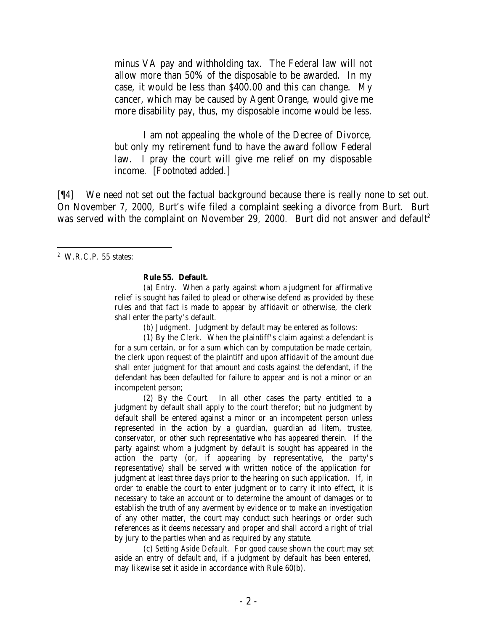minus VA pay and withholding tax. The Federal law will not allow more than 50% of the disposable to be awarded. In my case, it would be less than \$400.00 and this can change. My cancer, which may be caused by Agent Orange, would give me more disability pay, thus, my disposable income would be less.

I am not appealing the whole of the Decree of Divorce, but only my retirement fund to have the award follow Federal law. I pray the court will give me relief on my disposable income. [Footnoted added.]

[¶4] We need not set out the factual background because there is really none to set out. On November 7, 2000, Burt's wife filed a complaint seeking a divorce from Burt. Burt was served with the complaint on November 29, 2000. Burt did not answer and default<sup>2</sup>

#### **Rule 55. Default.**

(a) *Entry*. When a party against whom a judgment for affirmative relief is sought has failed to plead or otherwise defend as provided by these rules and that fact is made to appear by affidavit or otherwise, the clerk shall enter the party's default.

(b) *Judgment*. Judgment by default may be entered as follows:

(1) By the Clerk. When the plaintiff's claim against a defendant is for a sum certain, or for a sum which can by computation be made certain, the clerk upon request of the plaintiff and upon affidavit of the amount due shall enter judgment for that amount and costs against the defendant, if the defendant has been defaulted for failure to appear and is not a minor or an incompetent person;

(2) By the Court. In all other cases the party entitled to a judgment by default shall apply to the court therefor; but no judgment by default shall be entered against a minor or an incompetent person unless represented in the action by a guardian, guardian ad litem, trustee, conservator, or other such representative who has appeared therein. If the party against whom a judgment by default is sought has appeared in the action the party (or, if appearing by representative, the party's representative) shall be served with written notice of the application for judgment at least three days prior to the hearing on such application. If, in order to enable the court to enter judgment or to carry it into effect, it is necessary to take an account or to determine the amount of damages or to establish the truth of any averment by evidence or to make an investigation of any other matter, the court may conduct such hearings or order such references as it deems necessary and proper and shall accord a right of trial by jury to the parties when and as required by any statute.

(c) *Setting Aside Default*. For good cause shown the court may set aside an entry of default and, if a judgment by default has been entered, may likewise set it aside in accordance with Rule 60(b).

<sup>2</sup> W.R.C.P. 55 states: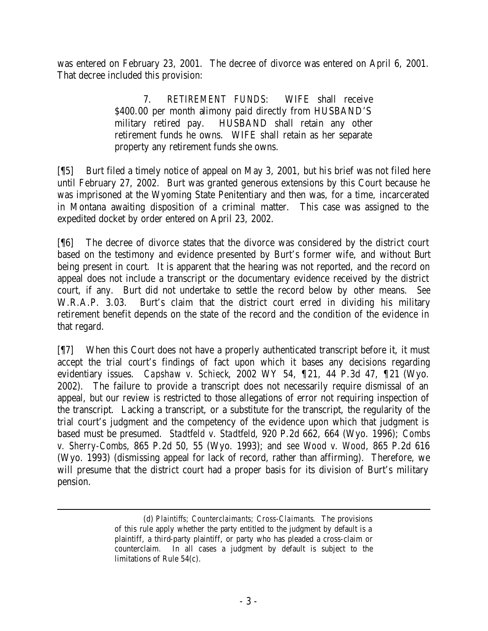was entered on February 23, 2001. The decree of divorce was entered on April 6, 2001. That decree included this provision:

> 7. *RETIREMENT FUNDS:* WIFE shall receive \$400.00 per month alimony paid directly from HUSBAND'S military retired pay. HUSBAND shall retain any other retirement funds he owns. WIFE shall retain as her separate property any retirement funds she owns.

[¶5] Burt filed a timely notice of appeal on May 3, 2001, but his brief was not filed here until February 27, 2002. Burt was granted generous extensions by this Court because he was imprisoned at the Wyoming State Penitentiary and then was, for a time, incarcerated in Montana awaiting disposition of a criminal matter. This case was assigned to the expedited docket by order entered on April 23, 2002.

[¶6] The decree of divorce states that the divorce was considered by the district court based on the testimony and evidence presented by Burt's former wife, and without Burt being present in court. It is apparent that the hearing was not reported, and the record on appeal does not include a transcript or the documentary evidence received by the district court, if any. Burt did not undertake to settle the record below by other means. *See*  W.R.A.P. 3.03. Burt's claim that the district court erred in dividing his military retirement benefit depends on the state of the record and the condition of the evidence in that regard.

[¶7] When this Court does not have a properly authenticated transcript before it, it must accept the trial court's findings of fact upon which it bases any decisions regarding evidentiary issues. *Capshaw v. Schieck*, 2002 WY 54, ¶21, 44 P.3d 47, ¶21 (Wyo. 2002). The failure to provide a transcript does not necessarily require dismissal of an appeal, but our review is restricted to those allegations of error not requiring inspection of the transcript. Lacking a transcript, or a substitute for the transcript, the regularity of the trial court's judgment and the competency of the evidence upon which that judgment is based must be presumed. *Stadtfeld v. Stadtfeld*, 920 P.2d 662, 664 (Wyo. 1996); *Combs v. Sherry-Combs*, 865 P.2d 50, 55 (Wyo. 1993); and *see Wood v. Wood*, 865 P.2d 616 (Wyo. 1993) (dismissing appeal for lack of record, rather than affirming). Therefore, we will presume that the district court had a proper basis for its division of Burt's military pension.

<sup>(</sup>d) *Plaintiffs; Counterclaimants; Cross-Claimants*. The provisions of this rule apply whether the party entitled to the judgment by default is a plaintiff, a third-party plaintiff, or party who has pleaded a cross-claim or counterclaim. In all cases a judgment by default is subject to the limitations of Rule 54(c).